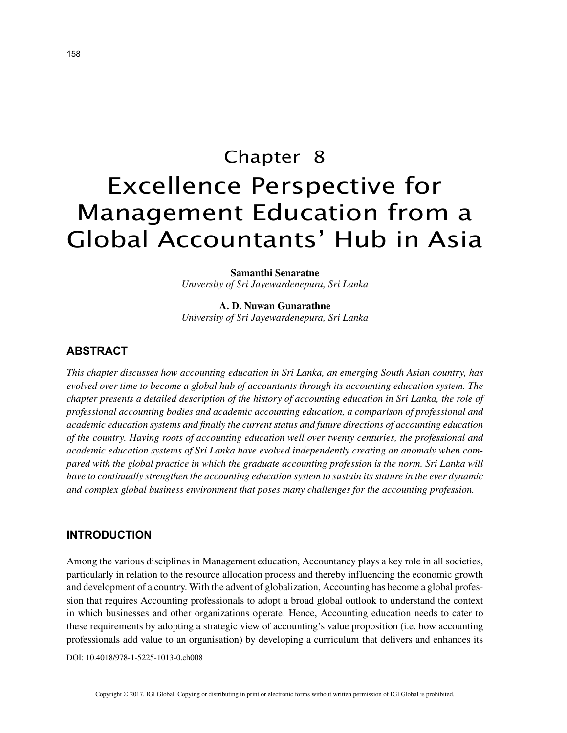# Chapter 8 Excellence Perspective for Management Education from a Global Accountants' Hub in Asia

**Samanthi Senaratne** *University of Sri Jayewardenepura, Sri Lanka*

**A. D. Nuwan Gunarathne** *University of Sri Jayewardenepura, Sri Lanka*

# **ABSTRACT**

*This chapter discusses how accounting education in Sri Lanka, an emerging South Asian country, has evolved over time to become a global hub of accountants through its accounting education system. The chapter presents a detailed description of the history of accounting education in Sri Lanka, the role of professional accounting bodies and academic accounting education, a comparison of professional and academic education systems and finally the current status and future directions of accounting education of the country. Having roots of accounting education well over twenty centuries, the professional and academic education systems of Sri Lanka have evolved independently creating an anomaly when compared with the global practice in which the graduate accounting profession is the norm. Sri Lanka will have to continually strengthen the accounting education system to sustain its stature in the ever dynamic and complex global business environment that poses many challenges for the accounting profession.*

#### **INTRODUCTION**

Among the various disciplines in Management education, Accountancy plays a key role in all societies, particularly in relation to the resource allocation process and thereby influencing the economic growth and development of a country. With the advent of globalization, Accounting has become a global profession that requires Accounting professionals to adopt a broad global outlook to understand the context in which businesses and other organizations operate. Hence, Accounting education needs to cater to these requirements by adopting a strategic view of accounting's value proposition (i.e. how accounting professionals add value to an organisation) by developing a curriculum that delivers and enhances its

DOI: 10.4018/978-1-5225-1013-0.ch008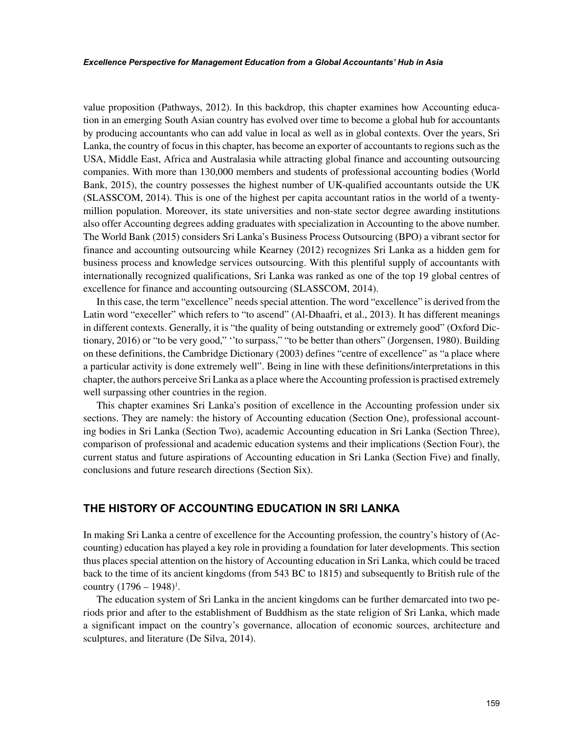value proposition (Pathways, 2012). In this backdrop, this chapter examines how Accounting education in an emerging South Asian country has evolved over time to become a global hub for accountants by producing accountants who can add value in local as well as in global contexts. Over the years, Sri Lanka, the country of focus in this chapter, has become an exporter of accountants to regions such as the USA, Middle East, Africa and Australasia while attracting global finance and accounting outsourcing companies. With more than 130,000 members and students of professional accounting bodies (World Bank, 2015), the country possesses the highest number of UK-qualified accountants outside the UK (SLASSCOM, 2014). This is one of the highest per capita accountant ratios in the world of a twentymillion population. Moreover, its state universities and non-state sector degree awarding institutions also offer Accounting degrees adding graduates with specialization in Accounting to the above number. The World Bank (2015) considers Sri Lanka's Business Process Outsourcing (BPO) a vibrant sector for finance and accounting outsourcing while Kearney (2012) recognizes Sri Lanka as a hidden gem for business process and knowledge services outsourcing. With this plentiful supply of accountants with internationally recognized qualifications, Sri Lanka was ranked as one of the top 19 global centres of excellence for finance and accounting outsourcing (SLASSCOM, 2014).

In this case, the term "excellence" needs special attention. The word "excellence" is derived from the Latin word "execeller" which refers to "to ascend" (Al-Dhaafri, et al., 2013). It has different meanings in different contexts. Generally, it is "the quality of being outstanding or extremely good" (Oxford Dictionary, 2016) or "to be very good," ''to surpass," "to be better than others" (Jorgensen, 1980). Building on these definitions, the Cambridge Dictionary (2003) defines "centre of excellence" as "a place where a particular activity is done extremely well". Being in line with these definitions/interpretations in this chapter, the authors perceive Sri Lanka as a place where the Accounting profession is practised extremely well surpassing other countries in the region.

This chapter examines Sri Lanka's position of excellence in the Accounting profession under six sections. They are namely: the history of Accounting education (Section One), professional accounting bodies in Sri Lanka (Section Two), academic Accounting education in Sri Lanka (Section Three), comparison of professional and academic education systems and their implications (Section Four), the current status and future aspirations of Accounting education in Sri Lanka (Section Five) and finally, conclusions and future research directions (Section Six).

## **THE HISTORY OF ACCOUNTING EDUCATION IN SRI LANKA**

In making Sri Lanka a centre of excellence for the Accounting profession, the country's history of (Accounting) education has played a key role in providing a foundation for later developments. This section thus places special attention on the history of Accounting education in Sri Lanka, which could be traced back to the time of its ancient kingdoms (from 543 BC to 1815) and subsequently to British rule of the country  $(1796 - 1948)^{1}$ .

The education system of Sri Lanka in the ancient kingdoms can be further demarcated into two periods prior and after to the establishment of Buddhism as the state religion of Sri Lanka, which made a significant impact on the country's governance, allocation of economic sources, architecture and sculptures, and literature (De Silva, 2014).